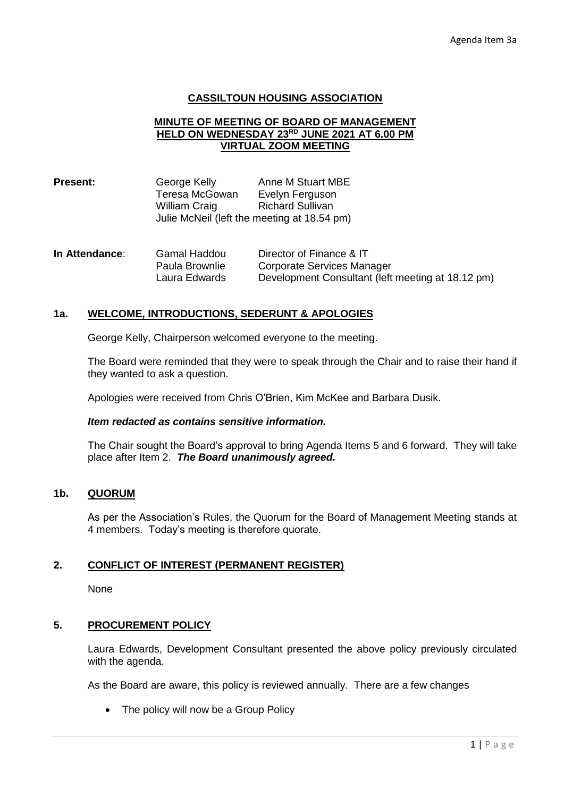### **CASSILTOUN HOUSING ASSOCIATION**

#### **MINUTE OF MEETING OF BOARD OF MANAGEMENT HELD ON WEDNESDAY 23RD JUNE 2021 AT 6.00 PM VIRTUAL ZOOM MEETING**

| <b>Present:</b> | George Kelly   | Anne M Stuart MBE                           |  |
|-----------------|----------------|---------------------------------------------|--|
|                 | Teresa McGowan | Evelyn Ferguson                             |  |
|                 | William Craig  | <b>Richard Sullivan</b>                     |  |
|                 |                | Julie McNeil (left the meeting at 18.54 pm) |  |

| In Attendance: | Gamal Haddou   | Director of Finance & IT                          |
|----------------|----------------|---------------------------------------------------|
|                | Paula Brownlie | Corporate Services Manager                        |
|                | Laura Edwards  | Development Consultant (left meeting at 18.12 pm) |

#### **1a. WELCOME, INTRODUCTIONS, SEDERUNT & APOLOGIES**

George Kelly, Chairperson welcomed everyone to the meeting.

The Board were reminded that they were to speak through the Chair and to raise their hand if they wanted to ask a question.

Apologies were received from Chris O'Brien, Kim McKee and Barbara Dusik.

#### *Item redacted as contains sensitive information.*

The Chair sought the Board's approval to bring Agenda Items 5 and 6 forward. They will take place after Item 2. *The Board unanimously agreed.*

### **1b. QUORUM**

As per the Association's Rules, the Quorum for the Board of Management Meeting stands at 4 members. Today's meeting is therefore quorate.

### **2. CONFLICT OF INTEREST (PERMANENT REGISTER)**

None

### **5. PROCUREMENT POLICY**

Laura Edwards, Development Consultant presented the above policy previously circulated with the agenda.

As the Board are aware, this policy is reviewed annually. There are a few changes

• The policy will now be a Group Policy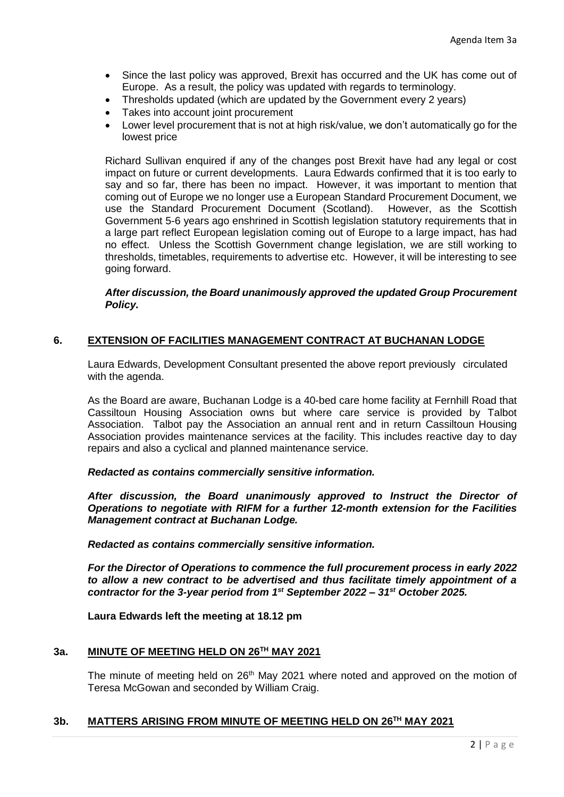- Since the last policy was approved, Brexit has occurred and the UK has come out of Europe. As a result, the policy was updated with regards to terminology.
- Thresholds updated (which are updated by the Government every 2 years)
- Takes into account joint procurement
- Lower level procurement that is not at high risk/value, we don't automatically go for the lowest price

Richard Sullivan enquired if any of the changes post Brexit have had any legal or cost impact on future or current developments. Laura Edwards confirmed that it is too early to say and so far, there has been no impact. However, it was important to mention that coming out of Europe we no longer use a European Standard Procurement Document, we use the Standard Procurement Document (Scotland). However, as the Scottish Government 5-6 years ago enshrined in Scottish legislation statutory requirements that in a large part reflect European legislation coming out of Europe to a large impact, has had no effect. Unless the Scottish Government change legislation, we are still working to thresholds, timetables, requirements to advertise etc. However, it will be interesting to see going forward.

### *After discussion, the Board unanimously approved the updated Group Procurement Policy.*

### **6. EXTENSION OF FACILITIES MANAGEMENT CONTRACT AT BUCHANAN LODGE**

Laura Edwards, Development Consultant presented the above report previously circulated with the agenda.

As the Board are aware, Buchanan Lodge is a 40-bed care home facility at Fernhill Road that Cassiltoun Housing Association owns but where care service is provided by Talbot Association. Talbot pay the Association an annual rent and in return Cassiltoun Housing Association provides maintenance services at the facility. This includes reactive day to day repairs and also a cyclical and planned maintenance service.

#### *Redacted as contains commercially sensitive information.*

*After discussion, the Board unanimously approved to Instruct the Director of Operations to negotiate with RIFM for a further 12-month extension for the Facilities Management contract at Buchanan Lodge.* 

*Redacted as contains commercially sensitive information.*

*For the Director of Operations to commence the full procurement process in early 2022 to allow a new contract to be advertised and thus facilitate timely appointment of a contractor for the 3-year period from 1st September 2022 – 31st October 2025.*

**Laura Edwards left the meeting at 18.12 pm**

### **3a. MINUTE OF MEETING HELD ON 26TH MAY 2021**

The minute of meeting held on 26<sup>th</sup> May 2021 where noted and approved on the motion of Teresa McGowan and seconded by William Craig.

### **3b. MATTERS ARISING FROM MINUTE OF MEETING HELD ON 26TH MAY 2021**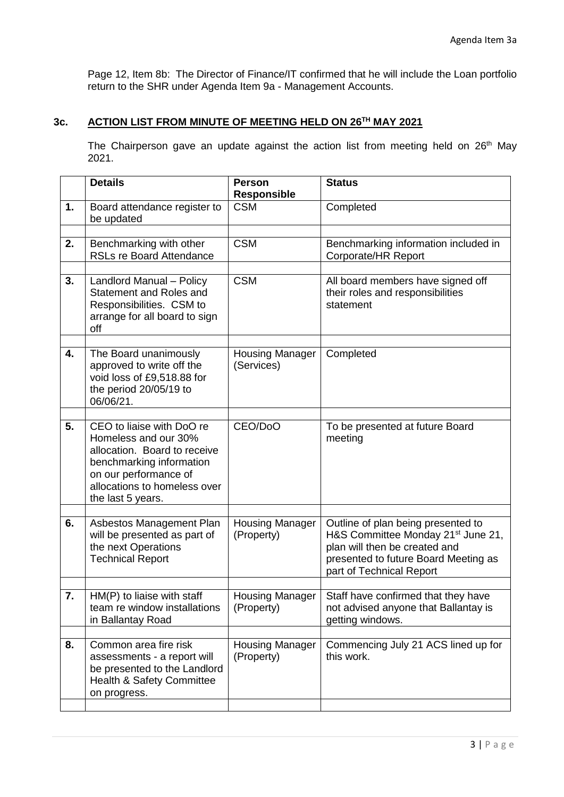Page 12, Item 8b: The Director of Finance/IT confirmed that he will include the Loan portfolio return to the SHR under Agenda Item 9a - Management Accounts.

# **3c. ACTION LIST FROM MINUTE OF MEETING HELD ON 26TH MAY 2021**

The Chairperson gave an update against the action list from meeting held on 26<sup>th</sup> May 2021.

|    | <b>Details</b>                                                                                                                                                                              | <b>Person</b><br><b>Responsible</b>  | <b>Status</b>                                                                                                                                                                             |
|----|---------------------------------------------------------------------------------------------------------------------------------------------------------------------------------------------|--------------------------------------|-------------------------------------------------------------------------------------------------------------------------------------------------------------------------------------------|
| 1. | Board attendance register to<br>be updated                                                                                                                                                  | <b>CSM</b>                           | Completed                                                                                                                                                                                 |
| 2. | Benchmarking with other<br><b>RSLs re Board Attendance</b>                                                                                                                                  | <b>CSM</b>                           | Benchmarking information included in<br>Corporate/HR Report                                                                                                                               |
| 3. | Landlord Manual - Policy<br>Statement and Roles and<br>Responsibilities. CSM to<br>arrange for all board to sign<br>off                                                                     | <b>CSM</b>                           | All board members have signed off<br>their roles and responsibilities<br>statement                                                                                                        |
| 4. | The Board unanimously<br>approved to write off the<br>void loss of £9,518.88 for<br>the period 20/05/19 to<br>06/06/21.                                                                     | <b>Housing Manager</b><br>(Services) | Completed                                                                                                                                                                                 |
| 5. | CEO to liaise with DoO re<br>Homeless and our 30%<br>allocation. Board to receive<br>benchmarking information<br>on our performance of<br>allocations to homeless over<br>the last 5 years. | CEO/DoO                              | To be presented at future Board<br>meeting                                                                                                                                                |
| 6. | Asbestos Management Plan<br>will be presented as part of<br>the next Operations<br><b>Technical Report</b>                                                                                  | <b>Housing Manager</b><br>(Property) | Outline of plan being presented to<br>H&S Committee Monday 21 <sup>st</sup> June 21,<br>plan will then be created and<br>presented to future Board Meeting as<br>part of Technical Report |
| 7. | HM(P) to liaise with staff<br>team re window installations<br>in Ballantay Road                                                                                                             | <b>Housing Manager</b><br>(Property) | Staff have confirmed that they have<br>not advised anyone that Ballantay is<br>getting windows.                                                                                           |
| 8. | Common area fire risk<br>assessments - a report will<br>be presented to the Landlord<br>Health & Safety Committee<br>on progress.                                                           | <b>Housing Manager</b><br>(Property) | Commencing July 21 ACS lined up for<br>this work.                                                                                                                                         |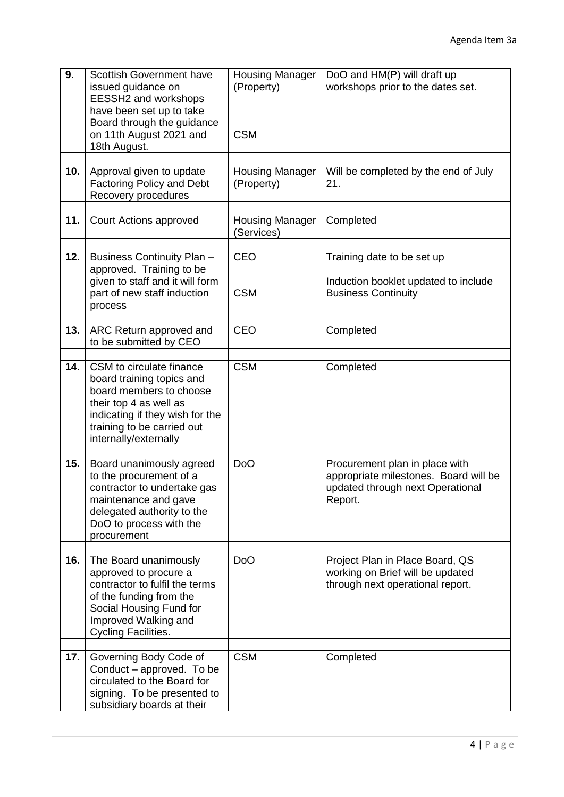| 9.  | <b>Scottish Government have</b><br>issued guidance on<br>EESSH2 and workshops<br>have been set up to take<br>Board through the guidance<br>on 11th August 2021 and<br>18th August.                   | <b>Housing Manager</b><br>(Property)<br><b>CSM</b> | DoO and HM(P) will draft up<br>workshops prior to the dates set.                                                       |
|-----|------------------------------------------------------------------------------------------------------------------------------------------------------------------------------------------------------|----------------------------------------------------|------------------------------------------------------------------------------------------------------------------------|
| 10. | Approval given to update<br><b>Factoring Policy and Debt</b><br>Recovery procedures                                                                                                                  | <b>Housing Manager</b><br>(Property)               | Will be completed by the end of July<br>21.                                                                            |
| 11. | Court Actions approved                                                                                                                                                                               | <b>Housing Manager</b><br>(Services)               | Completed                                                                                                              |
| 12. | <b>Business Continuity Plan-</b><br>approved. Training to be<br>given to staff and it will form<br>part of new staff induction<br>process                                                            | CEO<br><b>CSM</b>                                  | Training date to be set up<br>Induction booklet updated to include<br><b>Business Continuity</b>                       |
| 13. | ARC Return approved and<br>to be submitted by CEO                                                                                                                                                    | CEO                                                | Completed                                                                                                              |
| 14. | CSM to circulate finance<br>board training topics and<br>board members to choose<br>their top 4 as well as<br>indicating if they wish for the<br>training to be carried out<br>internally/externally | <b>CSM</b>                                         | Completed                                                                                                              |
| 15. | Board unanimously agreed<br>to the procurement of a<br>contractor to undertake gas<br>maintenance and gave<br>delegated authority to the<br>DoO to process with the<br>procurement                   | <b>DoO</b>                                         | Procurement plan in place with<br>appropriate milestones. Board will be<br>updated through next Operational<br>Report. |
| 16. | The Board unanimously<br>approved to procure a<br>contractor to fulfil the terms<br>of the funding from the<br>Social Housing Fund for<br>Improved Walking and<br><b>Cycling Facilities.</b>         | D <sub>o</sub> O                                   | Project Plan in Place Board, QS<br>working on Brief will be updated<br>through next operational report.                |
| 17. | Governing Body Code of<br>Conduct - approved. To be<br>circulated to the Board for<br>signing. To be presented to<br>subsidiary boards at their                                                      | <b>CSM</b>                                         | Completed                                                                                                              |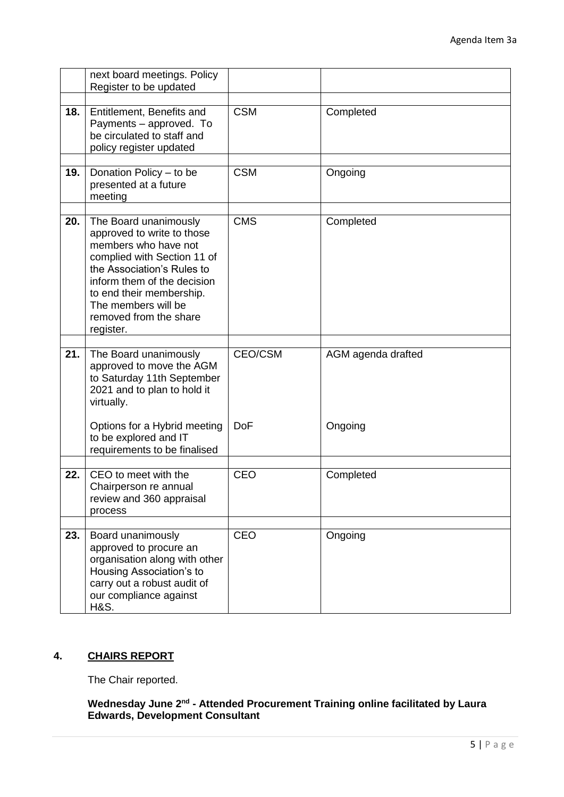|     | next board meetings. Policy<br>Register to be updated                                                                                                                                                                                                             |                |                    |
|-----|-------------------------------------------------------------------------------------------------------------------------------------------------------------------------------------------------------------------------------------------------------------------|----------------|--------------------|
|     |                                                                                                                                                                                                                                                                   |                |                    |
| 18. | Entitlement, Benefits and<br>Payments - approved. To<br>be circulated to staff and<br>policy register updated                                                                                                                                                     | <b>CSM</b>     | Completed          |
| 19. | Donation Policy - to be<br>presented at a future<br>meeting                                                                                                                                                                                                       | <b>CSM</b>     | Ongoing            |
| 20. | The Board unanimously<br>approved to write to those<br>members who have not<br>complied with Section 11 of<br>the Association's Rules to<br>inform them of the decision<br>to end their membership.<br>The members will be<br>removed from the share<br>register. | <b>CMS</b>     | Completed          |
|     |                                                                                                                                                                                                                                                                   |                |                    |
| 21. | The Board unanimously<br>approved to move the AGM<br>to Saturday 11th September<br>2021 and to plan to hold it<br>virtually.                                                                                                                                      | <b>CEO/CSM</b> | AGM agenda drafted |
|     | Options for a Hybrid meeting<br>to be explored and IT<br>requirements to be finalised                                                                                                                                                                             | <b>DoF</b>     | Ongoing            |
| 22. | CEO to meet with the                                                                                                                                                                                                                                              | <b>CEO</b>     | Completed          |
|     | Chairperson re annual<br>review and 360 appraisal<br>process                                                                                                                                                                                                      |                |                    |
|     |                                                                                                                                                                                                                                                                   |                |                    |
| 23. | Board unanimously<br>approved to procure an<br>organisation along with other<br>Housing Association's to<br>carry out a robust audit of<br>our compliance against<br><b>H&amp;S.</b>                                                                              | CEO            | Ongoing            |

### **4. CHAIRS REPORT**

The Chair reported.

#### Wednesday June 2<sup>nd</sup> - Attended Procurement Training online facilitated by Laura **Edwards, Development Consultant**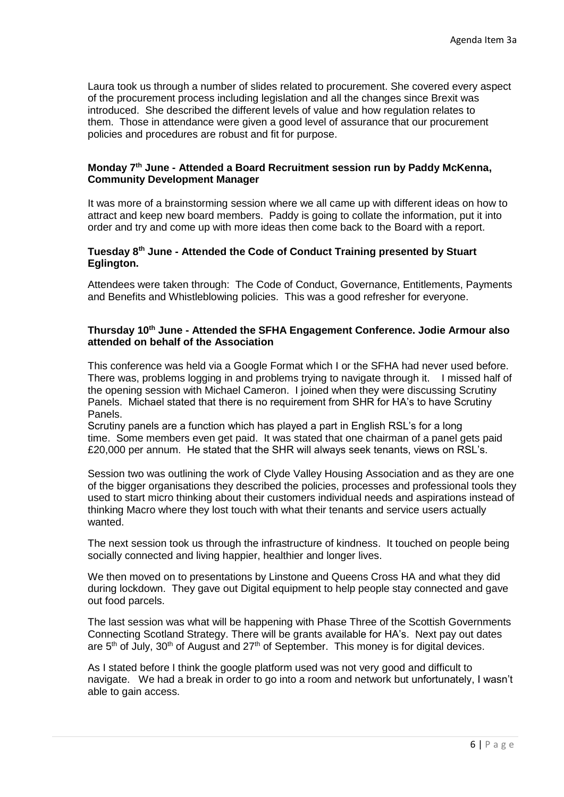Laura took us through a number of slides related to procurement. She covered every aspect of the procurement process including legislation and all the changes since Brexit was introduced. She described the different levels of value and how regulation relates to them. Those in attendance were given a good level of assurance that our procurement policies and procedures are robust and fit for purpose.

### **Monday 7th June - Attended a Board Recruitment session run by Paddy McKenna, Community Development Manager**

It was more of a brainstorming session where we all came up with different ideas on how to attract and keep new board members. Paddy is going to collate the information, put it into order and try and come up with more ideas then come back to the Board with a report.

#### **Tuesday 8th June - Attended the Code of Conduct Training presented by Stuart Eglington.**

Attendees were taken through: The Code of Conduct, Governance, Entitlements, Payments and Benefits and Whistleblowing policies. This was a good refresher for everyone.

#### **Thursday 10th June - Attended the SFHA Engagement Conference. Jodie Armour also attended on behalf of the Association**

This conference was held via a Google Format which I or the SFHA had never used before. There was, problems logging in and problems trying to navigate through it. I missed half of the opening session with Michael Cameron. I joined when they were discussing Scrutiny Panels. Michael stated that there is no requirement from SHR for HA's to have Scrutiny Panels.

Scrutiny panels are a function which has played a part in English RSL's for a long time. Some members even get paid. It was stated that one chairman of a panel gets paid £20,000 per annum. He stated that the SHR will always seek tenants, views on RSL's.

Session two was outlining the work of Clyde Valley Housing Association and as they are one of the bigger organisations they described the policies, processes and professional tools they used to start micro thinking about their customers individual needs and aspirations instead of thinking Macro where they lost touch with what their tenants and service users actually wanted.

The next session took us through the infrastructure of kindness. It touched on people being socially connected and living happier, healthier and longer lives.

We then moved on to presentations by Linstone and Queens Cross HA and what they did during lockdown. They gave out Digital equipment to help people stay connected and gave out food parcels.

The last session was what will be happening with Phase Three of the Scottish Governments Connecting Scotland Strategy. There will be grants available for HA's. Next pay out dates are  $5<sup>th</sup>$  of July, 30<sup>th</sup> of August and 27<sup>th</sup> of September. This money is for digital devices.

As I stated before I think the google platform used was not very good and difficult to navigate. We had a break in order to go into a room and network but unfortunately, I wasn't able to gain access.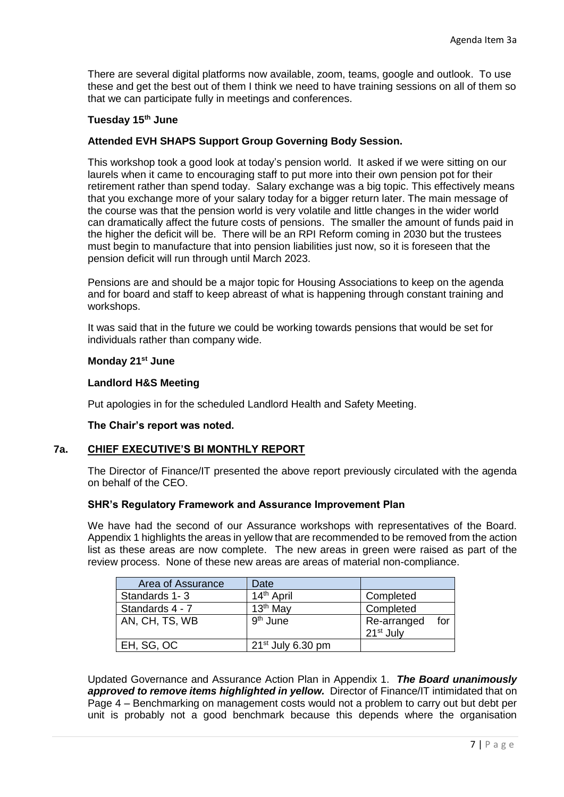There are several digital platforms now available, zoom, teams, google and outlook. To use these and get the best out of them I think we need to have training sessions on all of them so that we can participate fully in meetings and conferences.

### **Tuesday 15th June**

### **Attended EVH SHAPS Support Group Governing Body Session.**

This workshop took a good look at today's pension world. It asked if we were sitting on our laurels when it came to encouraging staff to put more into their own pension pot for their retirement rather than spend today. Salary exchange was a big topic. This effectively means that you exchange more of your salary today for a bigger return later. The main message of the course was that the pension world is very volatile and little changes in the wider world can dramatically affect the future costs of pensions. The smaller the amount of funds paid in the higher the deficit will be. There will be an RPI Reform coming in 2030 but the trustees must begin to manufacture that into pension liabilities just now, so it is foreseen that the pension deficit will run through until March 2023.

Pensions are and should be a major topic for Housing Associations to keep on the agenda and for board and staff to keep abreast of what is happening through constant training and workshops.

It was said that in the future we could be working towards pensions that would be set for individuals rather than company wide.

#### **Monday 21st June**

#### **Landlord H&S Meeting**

Put apologies in for the scheduled Landlord Health and Safety Meeting.

#### **The Chair's report was noted.**

### **7a. CHIEF EXECUTIVE'S BI MONTHLY REPORT**

The Director of Finance/IT presented the above report previously circulated with the agenda on behalf of the CEO.

#### **SHR's Regulatory Framework and Assurance Improvement Plan**

We have had the second of our Assurance workshops with representatives of the Board. Appendix 1 highlights the areas in yellow that are recommended to be removed from the action list as these areas are now complete. The new areas in green were raised as part of the review process. None of these new areas are areas of material non-compliance.

| Area of Assurance | Date                   |                       |
|-------------------|------------------------|-----------------------|
| Standards 1-3     | 14 <sup>th</sup> April | Completed             |
| Standards 4 - 7   | 13 <sup>th</sup> May   | Completed             |
| AN, CH, TS, WB    | 9 <sup>th</sup> June   | for<br>Re-arranged    |
|                   |                        | 21 <sup>st</sup> July |
| EH, SG, OC        | $21st$ July 6.30 pm    |                       |

Updated Governance and Assurance Action Plan in Appendix 1. *The Board unanimously*  approved to remove *items highlighted in yellow*. Director of Finance/IT intimidated that on Page 4 – Benchmarking on management costs would not a problem to carry out but debt per unit is probably not a good benchmark because this depends where the organisation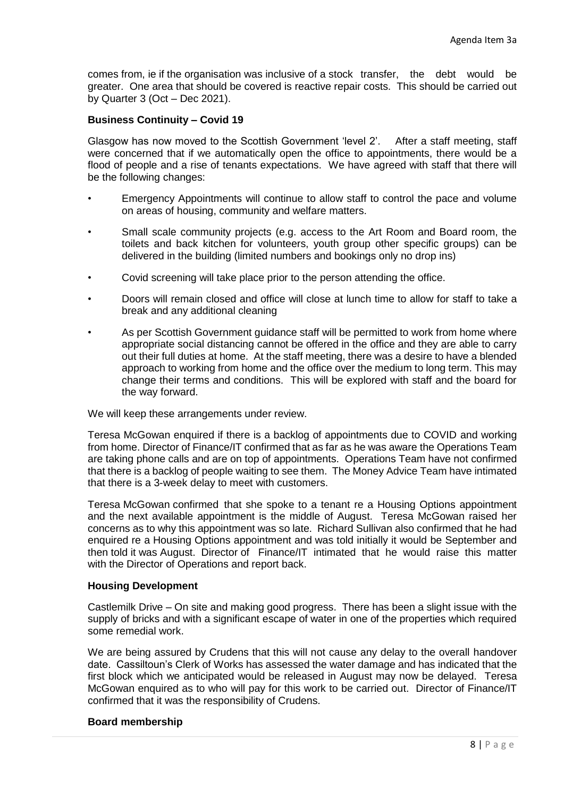comes from, ie if the organisation was inclusive of a stock transfer, the debt would be greater. One area that should be covered is reactive repair costs. This should be carried out by Quarter 3 (Oct – Dec 2021).

### **Business Continuity – Covid 19**

Glasgow has now moved to the Scottish Government 'level 2'. After a staff meeting, staff were concerned that if we automatically open the office to appointments, there would be a flood of people and a rise of tenants expectations. We have agreed with staff that there will be the following changes:

- Emergency Appointments will continue to allow staff to control the pace and volume on areas of housing, community and welfare matters.
- Small scale community projects (e.g. access to the Art Room and Board room, the toilets and back kitchen for volunteers, youth group other specific groups) can be delivered in the building (limited numbers and bookings only no drop ins)
- Covid screening will take place prior to the person attending the office.
- Doors will remain closed and office will close at lunch time to allow for staff to take a break and any additional cleaning
- As per Scottish Government guidance staff will be permitted to work from home where appropriate social distancing cannot be offered in the office and they are able to carry out their full duties at home. At the staff meeting, there was a desire to have a blended approach to working from home and the office over the medium to long term. This may change their terms and conditions. This will be explored with staff and the board for the way forward.

We will keep these arrangements under review.

Teresa McGowan enquired if there is a backlog of appointments due to COVID and working from home. Director of Finance/IT confirmed that as far as he was aware the Operations Team are taking phone calls and are on top of appointments. Operations Team have not confirmed that there is a backlog of people waiting to see them. The Money Advice Team have intimated that there is a 3-week delay to meet with customers.

Teresa McGowan confirmed that she spoke to a tenant re a Housing Options appointment and the next available appointment is the middle of August. Teresa McGowan raised her concerns as to why this appointment was so late. Richard Sullivan also confirmed that he had enquired re a Housing Options appointment and was told initially it would be September and then told it was August. Director of Finance/IT intimated that he would raise this matter with the Director of Operations and report back.

### **Housing Development**

Castlemilk Drive – On site and making good progress. There has been a slight issue with the supply of bricks and with a significant escape of water in one of the properties which required some remedial work.

We are being assured by Crudens that this will not cause any delay to the overall handover date. Cassiltoun's Clerk of Works has assessed the water damage and has indicated that the first block which we anticipated would be released in August may now be delayed. Teresa McGowan enquired as to who will pay for this work to be carried out. Director of Finance/IT confirmed that it was the responsibility of Crudens.

#### **Board membership**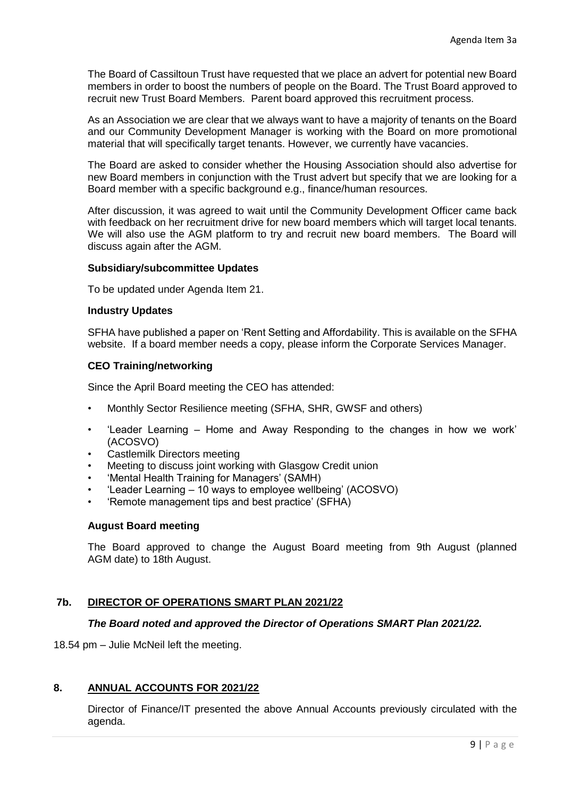The Board of Cassiltoun Trust have requested that we place an advert for potential new Board members in order to boost the numbers of people on the Board. The Trust Board approved to recruit new Trust Board Members. Parent board approved this recruitment process.

As an Association we are clear that we always want to have a majority of tenants on the Board and our Community Development Manager is working with the Board on more promotional material that will specifically target tenants. However, we currently have vacancies.

The Board are asked to consider whether the Housing Association should also advertise for new Board members in conjunction with the Trust advert but specify that we are looking for a Board member with a specific background e.g., finance/human resources.

After discussion, it was agreed to wait until the Community Development Officer came back with feedback on her recruitment drive for new board members which will target local tenants. We will also use the AGM platform to try and recruit new board members. The Board will discuss again after the AGM.

#### **Subsidiary/subcommittee Updates**

To be updated under Agenda Item 21.

#### **Industry Updates**

SFHA have published a paper on 'Rent Setting and Affordability. This is available on the SFHA website. If a board member needs a copy, please inform the Corporate Services Manager.

#### **CEO Training/networking**

Since the April Board meeting the CEO has attended:

- Monthly Sector Resilience meeting (SFHA, SHR, GWSF and others)
- 'Leader Learning Home and Away Responding to the changes in how we work' (ACOSVO)
- Castlemilk Directors meeting
- Meeting to discuss joint working with Glasgow Credit union
- 'Mental Health Training for Managers' (SAMH)
- 'Leader Learning 10 ways to employee wellbeing' (ACOSVO)
- 'Remote management tips and best practice' (SFHA)

#### **August Board meeting**

The Board approved to change the August Board meeting from 9th August (planned AGM date) to 18th August.

### **7b. DIRECTOR OF OPERATIONS SMART PLAN 2021/22**

### *The Board noted and approved the Director of Operations SMART Plan 2021/22.*

18.54 pm – Julie McNeil left the meeting.

### **8. ANNUAL ACCOUNTS FOR 2021/22**

Director of Finance/IT presented the above Annual Accounts previously circulated with the agenda.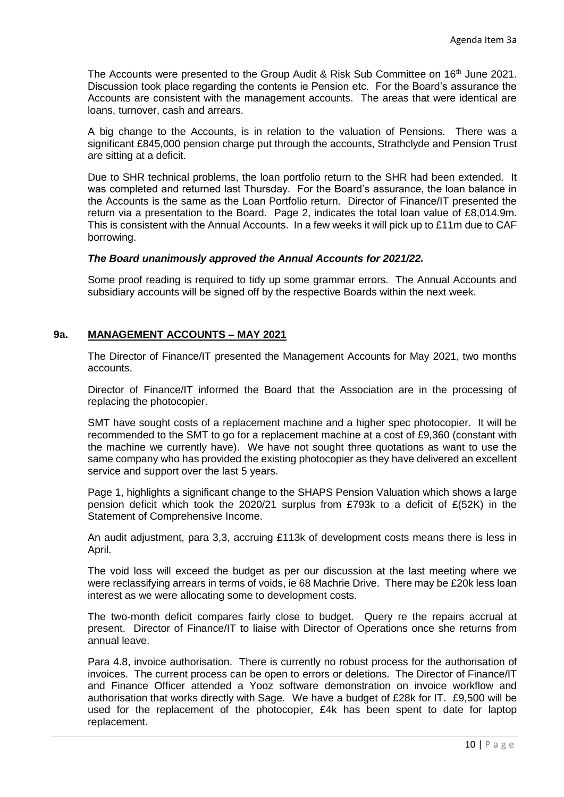The Accounts were presented to the Group Audit & Risk Sub Committee on  $16<sup>th</sup>$  June 2021. Discussion took place regarding the contents ie Pension etc. For the Board's assurance the Accounts are consistent with the management accounts. The areas that were identical are loans, turnover, cash and arrears.

A big change to the Accounts, is in relation to the valuation of Pensions. There was a significant £845,000 pension charge put through the accounts, Strathclyde and Pension Trust are sitting at a deficit.

Due to SHR technical problems, the loan portfolio return to the SHR had been extended. It was completed and returned last Thursday. For the Board's assurance, the loan balance in the Accounts is the same as the Loan Portfolio return. Director of Finance/IT presented the return via a presentation to the Board. Page 2, indicates the total loan value of £8,014.9m. This is consistent with the Annual Accounts. In a few weeks it will pick up to £11m due to CAF borrowing.

### *The Board unanimously approved the Annual Accounts for 2021/22.*

Some proof reading is required to tidy up some grammar errors. The Annual Accounts and subsidiary accounts will be signed off by the respective Boards within the next week.

#### **9a. MANAGEMENT ACCOUNTS – MAY 2021**

The Director of Finance/IT presented the Management Accounts for May 2021, two months accounts.

Director of Finance/IT informed the Board that the Association are in the processing of replacing the photocopier.

SMT have sought costs of a replacement machine and a higher spec photocopier. It will be recommended to the SMT to go for a replacement machine at a cost of £9,360 (constant with the machine we currently have). We have not sought three quotations as want to use the same company who has provided the existing photocopier as they have delivered an excellent service and support over the last 5 years.

Page 1, highlights a significant change to the SHAPS Pension Valuation which shows a large pension deficit which took the 2020/21 surplus from £793k to a deficit of £(52K) in the Statement of Comprehensive Income.

An audit adjustment, para 3,3, accruing £113k of development costs means there is less in April.

The void loss will exceed the budget as per our discussion at the last meeting where we were reclassifying arrears in terms of voids, ie 68 Machrie Drive. There may be £20k less loan interest as we were allocating some to development costs.

The two-month deficit compares fairly close to budget. Query re the repairs accrual at present. Director of Finance/IT to liaise with Director of Operations once she returns from annual leave.

Para 4.8, invoice authorisation. There is currently no robust process for the authorisation of invoices. The current process can be open to errors or deletions. The Director of Finance/IT and Finance Officer attended a Yooz software demonstration on invoice workflow and authorisation that works directly with Sage. We have a budget of £28k for IT. £9,500 will be used for the replacement of the photocopier, £4k has been spent to date for laptop replacement.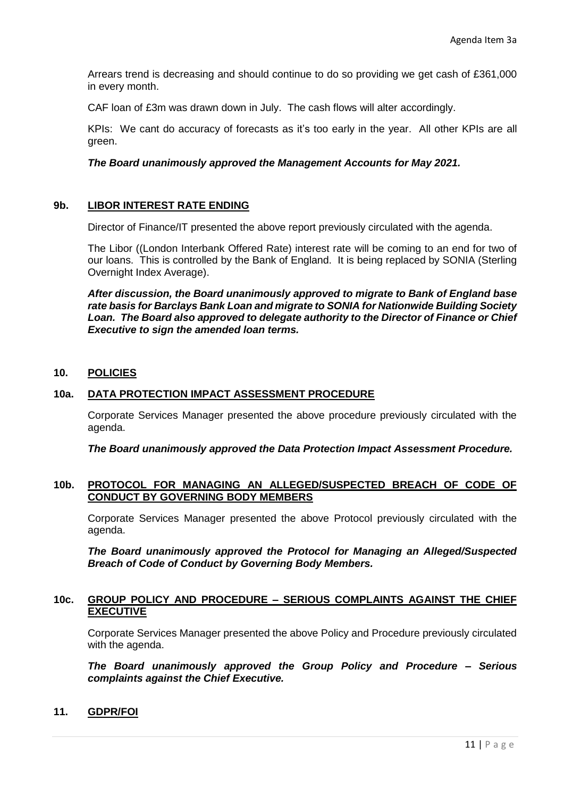Arrears trend is decreasing and should continue to do so providing we get cash of £361,000 in every month.

CAF loan of £3m was drawn down in July. The cash flows will alter accordingly.

KPIs: We cant do accuracy of forecasts as it's too early in the year. All other KPIs are all green.

#### *The Board unanimously approved the Management Accounts for May 2021.*

### **9b. LIBOR INTEREST RATE ENDING**

Director of Finance/IT presented the above report previously circulated with the agenda.

The Libor ((London Interbank Offered Rate) interest rate will be coming to an end for two of our loans. This is controlled by the Bank of England. It is being replaced by SONIA (Sterling Overnight Index Average).

*After discussion, the Board unanimously approved to migrate to Bank of England base rate basis for Barclays Bank Loan and migrate to SONIA for Nationwide Building Society Loan. The Board also approved to delegate authority to the Director of Finance or Chief Executive to sign the amended loan terms.*

### **10. POLICIES**

#### **10a. DATA PROTECTION IMPACT ASSESSMENT PROCEDURE**

Corporate Services Manager presented the above procedure previously circulated with the agenda.

*The Board unanimously approved the Data Protection Impact Assessment Procedure.*

#### **10b. PROTOCOL FOR MANAGING AN ALLEGED/SUSPECTED BREACH OF CODE OF CONDUCT BY GOVERNING BODY MEMBERS**

Corporate Services Manager presented the above Protocol previously circulated with the agenda.

*The Board unanimously approved the Protocol for Managing an Alleged/Suspected Breach of Code of Conduct by Governing Body Members.*

#### **10c. GROUP POLICY AND PROCEDURE – SERIOUS COMPLAINTS AGAINST THE CHIEF EXECUTIVE**

Corporate Services Manager presented the above Policy and Procedure previously circulated with the agenda.

*The Board unanimously approved the Group Policy and Procedure – Serious complaints against the Chief Executive.*

### **11. GDPR/FOI**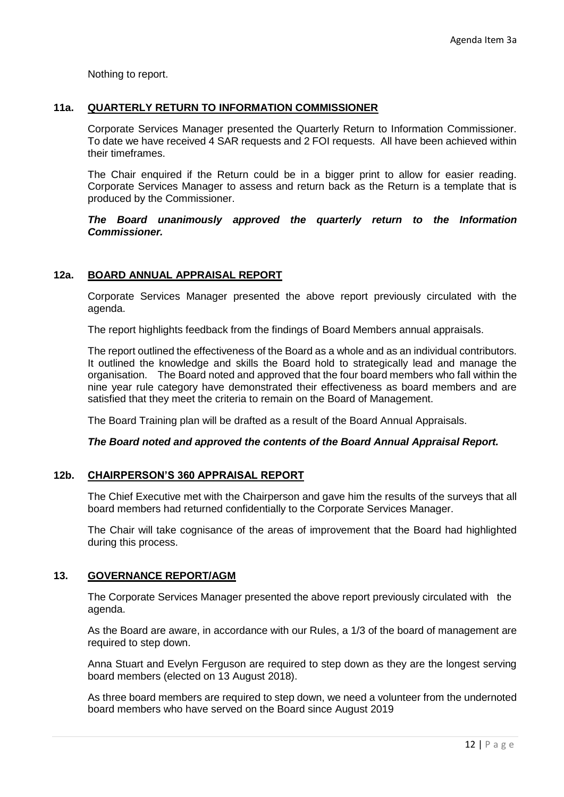Nothing to report.

### **11a. QUARTERLY RETURN TO INFORMATION COMMISSIONER**

Corporate Services Manager presented the Quarterly Return to Information Commissioner. To date we have received 4 SAR requests and 2 FOI requests. All have been achieved within their timeframes.

The Chair enquired if the Return could be in a bigger print to allow for easier reading. Corporate Services Manager to assess and return back as the Return is a template that is produced by the Commissioner.

 *The Board unanimously approved the quarterly return to the Information Commissioner.*

### **12a. BOARD ANNUAL APPRAISAL REPORT**

Corporate Services Manager presented the above report previously circulated with the agenda.

The report highlights feedback from the findings of Board Members annual appraisals.

The report outlined the effectiveness of the Board as a whole and as an individual contributors. It outlined the knowledge and skills the Board hold to strategically lead and manage the organisation. The Board noted and approved that the four board members who fall within the nine year rule category have demonstrated their effectiveness as board members and are satisfied that they meet the criteria to remain on the Board of Management.

The Board Training plan will be drafted as a result of the Board Annual Appraisals.

#### *The Board noted and approved the contents of the Board Annual Appraisal Report.*

#### **12b. CHAIRPERSON'S 360 APPRAISAL REPORT**

The Chief Executive met with the Chairperson and gave him the results of the surveys that all board members had returned confidentially to the Corporate Services Manager.

The Chair will take cognisance of the areas of improvement that the Board had highlighted during this process.

#### **13. GOVERNANCE REPORT/AGM**

The Corporate Services Manager presented the above report previously circulated with the agenda.

As the Board are aware, in accordance with our Rules, a 1/3 of the board of management are required to step down.

Anna Stuart and Evelyn Ferguson are required to step down as they are the longest serving board members (elected on 13 August 2018).

As three board members are required to step down, we need a volunteer from the undernoted board members who have served on the Board since August 2019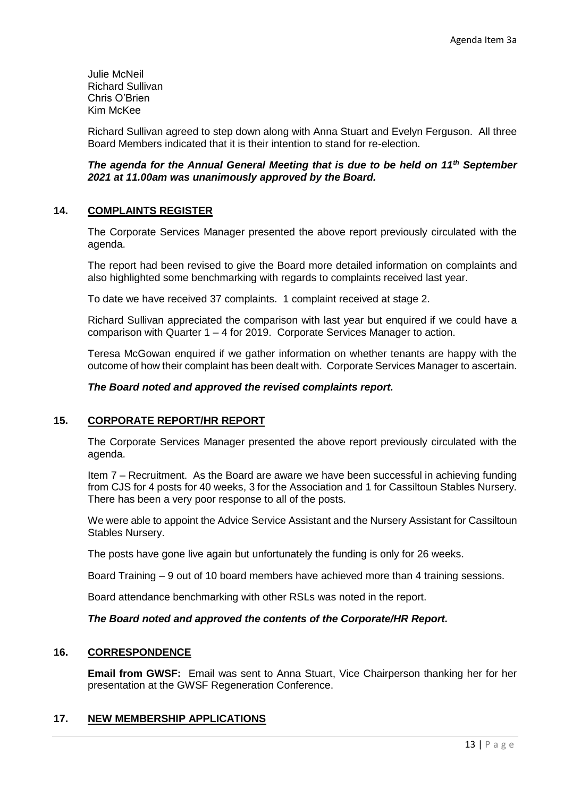Julie McNeil Richard Sullivan Chris O'Brien Kim McKee

Richard Sullivan agreed to step down along with Anna Stuart and Evelyn Ferguson. All three Board Members indicated that it is their intention to stand for re-election.

### *The agenda for the Annual General Meeting that is due to be held on 11th September 2021 at 11.00am was unanimously approved by the Board.*

### **14. COMPLAINTS REGISTER**

The Corporate Services Manager presented the above report previously circulated with the agenda.

The report had been revised to give the Board more detailed information on complaints and also highlighted some benchmarking with regards to complaints received last year.

To date we have received 37 complaints. 1 complaint received at stage 2.

Richard Sullivan appreciated the comparison with last year but enquired if we could have a comparison with Quarter 1 – 4 for 2019. Corporate Services Manager to action.

Teresa McGowan enquired if we gather information on whether tenants are happy with the outcome of how their complaint has been dealt with. Corporate Services Manager to ascertain.

#### *The Board noted and approved the revised complaints report.*

### **15. CORPORATE REPORT/HR REPORT**

The Corporate Services Manager presented the above report previously circulated with the agenda.

Item 7 – Recruitment. As the Board are aware we have been successful in achieving funding from CJS for 4 posts for 40 weeks, 3 for the Association and 1 for Cassiltoun Stables Nursery. There has been a very poor response to all of the posts.

We were able to appoint the Advice Service Assistant and the Nursery Assistant for Cassiltoun Stables Nursery.

The posts have gone live again but unfortunately the funding is only for 26 weeks.

Board Training – 9 out of 10 board members have achieved more than 4 training sessions.

Board attendance benchmarking with other RSLs was noted in the report.

#### *The Board noted and approved the contents of the Corporate/HR Report.*

### **16. CORRESPONDENCE**

**Email from GWSF:** Email was sent to Anna Stuart, Vice Chairperson thanking her for her presentation at the GWSF Regeneration Conference.

### **17. NEW MEMBERSHIP APPLICATIONS**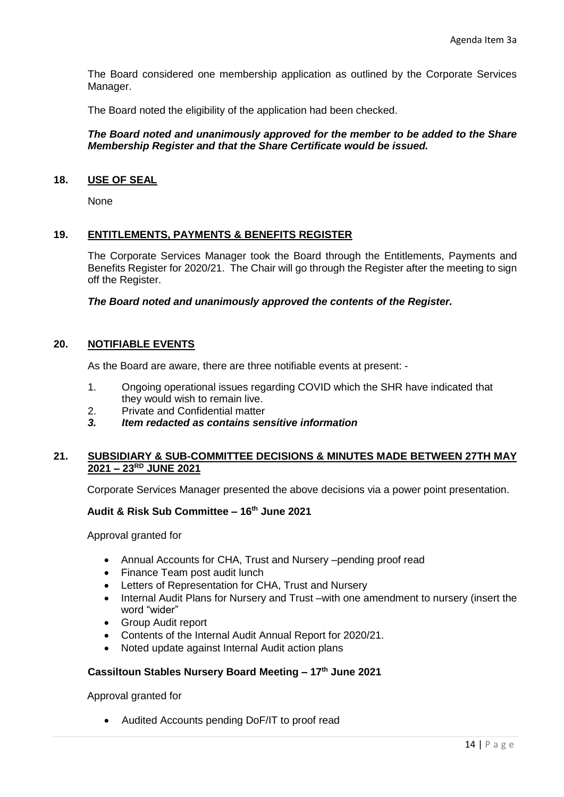The Board considered one membership application as outlined by the Corporate Services Manager.

The Board noted the eligibility of the application had been checked.

### *The Board noted and unanimously approved for the member to be added to the Share Membership Register and that the Share Certificate would be issued.*

#### **18. USE OF SEAL**

None

### **19. ENTITLEMENTS, PAYMENTS & BENEFITS REGISTER**

The Corporate Services Manager took the Board through the Entitlements, Payments and Benefits Register for 2020/21. The Chair will go through the Register after the meeting to sign off the Register.

*The Board noted and unanimously approved the contents of the Register.*

### **20. NOTIFIABLE EVENTS**

As the Board are aware, there are three notifiable events at present: -

- 1. Ongoing operational issues regarding COVID which the SHR have indicated that they would wish to remain live.
- 2. Private and Confidential matter
- *3. Item redacted as contains sensitive information*

### **21. SUBSIDIARY & SUB-COMMITTEE DECISIONS & MINUTES MADE BETWEEN 27TH MAY 2021 – 23RD JUNE 2021**

Corporate Services Manager presented the above decisions via a power point presentation.

### **Audit & Risk Sub Committee – 16th June 2021**

Approval granted for

- Annual Accounts for CHA, Trust and Nursery –pending proof read
- Finance Team post audit lunch
- Letters of Representation for CHA, Trust and Nursery
- Internal Audit Plans for Nursery and Trust –with one amendment to nursery (insert the word "wider"
- Group Audit report
- Contents of the Internal Audit Annual Report for 2020/21.
- Noted update against Internal Audit action plans

#### **Cassiltoun Stables Nursery Board Meeting – 17th June 2021**

Approval granted for

• Audited Accounts pending DoF/IT to proof read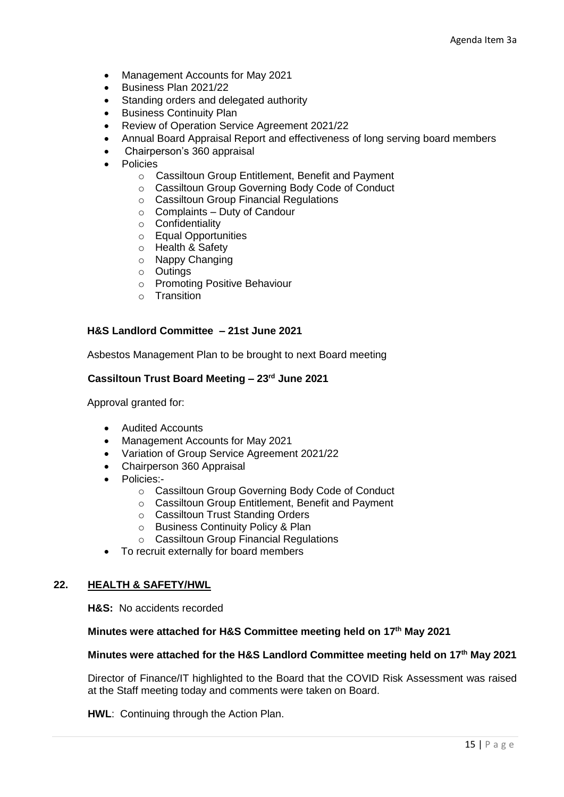- Management Accounts for May 2021
- Business Plan 2021/22
- Standing orders and delegated authority
- Business Continuity Plan
- Review of Operation Service Agreement 2021/22
- Annual Board Appraisal Report and effectiveness of long serving board members
- Chairperson's 360 appraisal
- **Policies** 
	- o Cassiltoun Group Entitlement, Benefit and Payment
	- o Cassiltoun Group Governing Body Code of Conduct
	- o Cassiltoun Group Financial Regulations
	- $\circ$  Complaints Duty of Candour
	- o Confidentiality
	- o Equal Opportunities
	- o Health & Safety
	- o Nappy Changing
	- o Outings
	- o Promoting Positive Behaviour
	- o Transition

#### **H&S Landlord Committee – 21st June 2021**

Asbestos Management Plan to be brought to next Board meeting

### **Cassiltoun Trust Board Meeting – 23rd June 2021**

Approval granted for:

- Audited Accounts
- Management Accounts for May 2021
- Variation of Group Service Agreement 2021/22
- Chairperson 360 Appraisal
- Policies:
	- o Cassiltoun Group Governing Body Code of Conduct
	- o Cassiltoun Group Entitlement, Benefit and Payment
	- o Cassiltoun Trust Standing Orders
	- o Business Continuity Policy & Plan
	- o Cassiltoun Group Financial Regulations
- To recruit externally for board members

### **22. HEALTH & SAFETY/HWL**

**H&S:** No accidents recorded

#### **Minutes were attached for H&S Committee meeting held on 17th May 2021**

#### **Minutes were attached for the H&S Landlord Committee meeting held on 17th May 2021**

Director of Finance/IT highlighted to the Board that the COVID Risk Assessment was raised at the Staff meeting today and comments were taken on Board.

**HWL**: Continuing through the Action Plan.